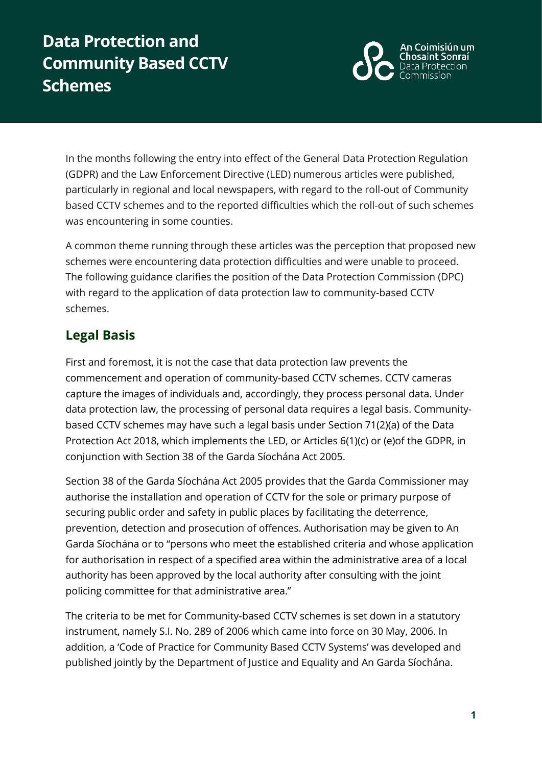# **Data Protection and Community Based CCTV Schemes**



In the months following the entry into effect of the General Data Protection Regulation (GDPR) and the Law Enforcement Directive (LED) numerous articles were published, particularly in regional and local newspapers, with regard to the roll-out of Community based CCTV schemes and to the reported difficulties which the roll-out of such schemes was encountering in some counties.

A common theme running through these articles was the perception that proposed new schemes were encountering data protection difficulties and were unable to proceed. The following guidance clarifies the position of the Data Protection Commission (DPC) with regard to the application of data protection law to community-based CCTV schemes.

# **Legal Basis**

First and foremost, it is not the case that data protection law prevents the commencement and operation of community-based CCTV schemes. CCTV cameras capture the images of individuals and, accordingly, they process personal data. Under data protection law, the processing of personal data requires a legal basis. Communitybased CCTV schemes may have such a legal basis under Section 71(2)(a) of the Data Protection Act 2018, which implements the LED, or Articles 6(1)(c) or (e)of the GDPR, in conjunction with Section 38 of the Garda Síochána Act 2005.

Section 38 of the Garda Síochána Act 2005 provides that the Garda Commissioner may authorise the installation and operation of CCTV for the sole or primary purpose of securing public order and safety in public places by facilitating the deterrence, prevention, detection and prosecution of offences. Authorisation may be given to An Garda Síochána or to "persons who meet the established criteria and whose application for authorisation in respect of a specified area within the administrative area of a local authority has been approved by the local authority after consulting with the joint policing committee for that administrative area."

The criteria to be met for Community-based CCTV schemes is set down in a statutory instrument, namely S.I. No. 289 of 2006 which came into force on 30 May, 2006. In addition, a 'Code of Practice for Community Based CCTV Systems' was developed and published jointly by the Department of Justice and Equality and An Garda Síochána.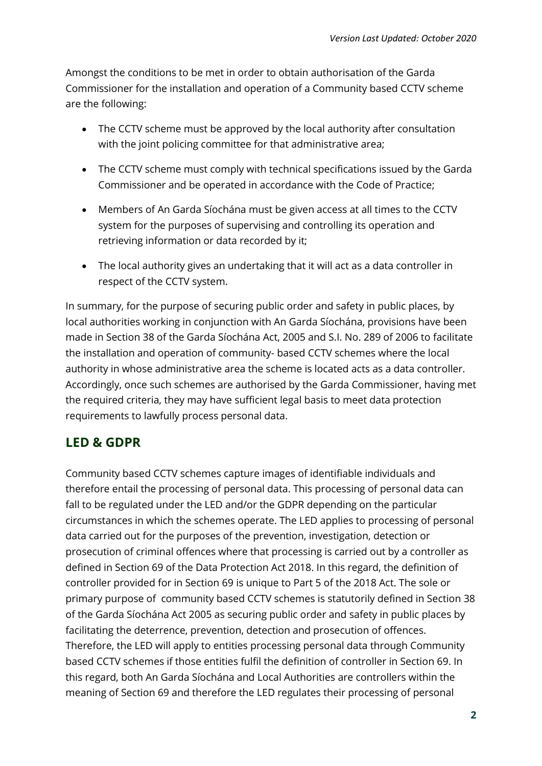Amongst the conditions to be met in order to obtain authorisation of the Garda Commissioner for the installation and operation of a Community based CCTV scheme are the following:

- The CCTV scheme must be approved by the local authority after consultation with the joint policing committee for that administrative area;
- The CCTV scheme must comply with technical specifications issued by the Garda Commissioner and be operated in accordance with the Code of Practice;
- Members of An Garda Síochána must be given access at all times to the CCTV system for the purposes of supervising and controlling its operation and retrieving information or data recorded by it;
- The local authority gives an undertaking that it will act as a data controller in respect of the CCTV system.

In summary, for the purpose of securing public order and safety in public places, by local authorities working in conjunction with An Garda Síochána, provisions have been made in Section 38 of the Garda Síochána Act, 2005 and S.I. No. 289 of 2006 to facilitate the installation and operation of community- based CCTV schemes where the local authority in whose administrative area the scheme is located acts as a data controller. Accordingly, once such schemes are authorised by the Garda Commissioner, having met the required criteria, they may have sufficient legal basis to meet data protection requirements to lawfully process personal data.

# **LED & GDPR**

Community based CCTV schemes capture images of identifiable individuals and therefore entail the processing of personal data. This processing of personal data can fall to be regulated under the LED and/or the GDPR depending on the particular circumstances in which the schemes operate. The LED applies to processing of personal data carried out for the purposes of the prevention, investigation, detection or prosecution of criminal offences where that processing is carried out by a controller as defined in Section 69 of the Data Protection Act 2018. In this regard, the definition of controller provided for in Section 69 is unique to Part 5 of the 2018 Act. The sole or primary purpose of community based CCTV schemes is statutorily defined in Section 38 of the Garda Síochána Act 2005 as securing public order and safety in public places by facilitating the deterrence, prevention, detection and prosecution of offences. Therefore, the LED will apply to entities processing personal data through Community based CCTV schemes if those entities fulfil the definition of controller in Section 69. In this regard, both An Garda Síochána and Local Authorities are controllers within the meaning of Section 69 and therefore the LED regulates their processing of personal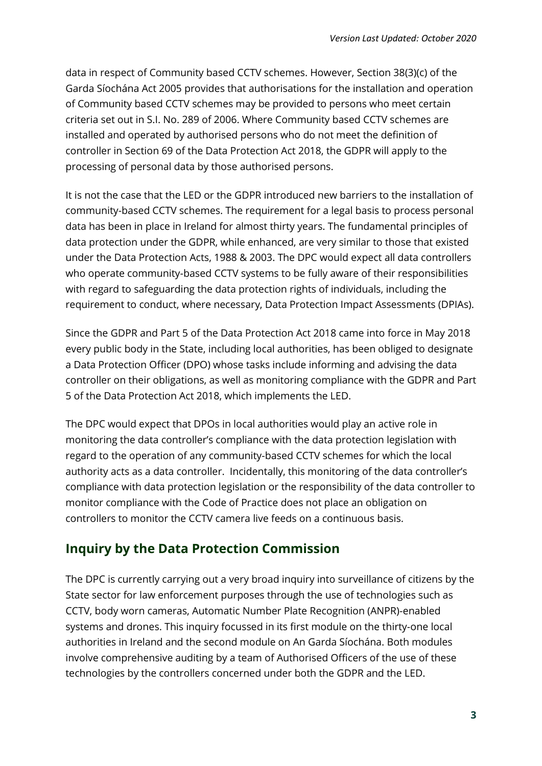data in respect of Community based CCTV schemes. However, Section 38(3)(c) of the Garda Síochána Act 2005 provides that authorisations for the installation and operation of Community based CCTV schemes may be provided to persons who meet certain criteria set out in S.I. No. 289 of 2006. Where Community based CCTV schemes are installed and operated by authorised persons who do not meet the definition of controller in Section 69 of the Data Protection Act 2018, the GDPR will apply to the processing of personal data by those authorised persons.

It is not the case that the LED or the GDPR introduced new barriers to the installation of community-based CCTV schemes. The requirement for a legal basis to process personal data has been in place in Ireland for almost thirty years. The fundamental principles of data protection under the GDPR, while enhanced, are very similar to those that existed under the Data Protection Acts, 1988 & 2003. The DPC would expect all data controllers who operate community-based CCTV systems to be fully aware of their responsibilities with regard to safeguarding the data protection rights of individuals, including the requirement to conduct, where necessary, Data Protection Impact Assessments (DPIAs).

Since the GDPR and Part 5 of the Data Protection Act 2018 came into force in May 2018 every public body in the State, including local authorities, has been obliged to designate a Data Protection Officer (DPO) whose tasks include informing and advising the data controller on their obligations, as well as monitoring compliance with the GDPR and Part 5 of the Data Protection Act 2018, which implements the LED.

The DPC would expect that DPOs in local authorities would play an active role in monitoring the data controller's compliance with the data protection legislation with regard to the operation of any community-based CCTV schemes for which the local authority acts as a data controller. Incidentally, this monitoring of the data controller's compliance with data protection legislation or the responsibility of the data controller to monitor compliance with the Code of Practice does not place an obligation on controllers to monitor the CCTV camera live feeds on a continuous basis.

# **Inquiry by the Data Protection Commission**

The DPC is currently carrying out a very broad inquiry into surveillance of citizens by the State sector for law enforcement purposes through the use of technologies such as CCTV, body worn cameras, Automatic Number Plate Recognition (ANPR)-enabled systems and drones. This inquiry focussed in its first module on the thirty-one local authorities in Ireland and the second module on An Garda Síochána. Both modules involve comprehensive auditing by a team of Authorised Officers of the use of these technologies by the controllers concerned under both the GDPR and the LED.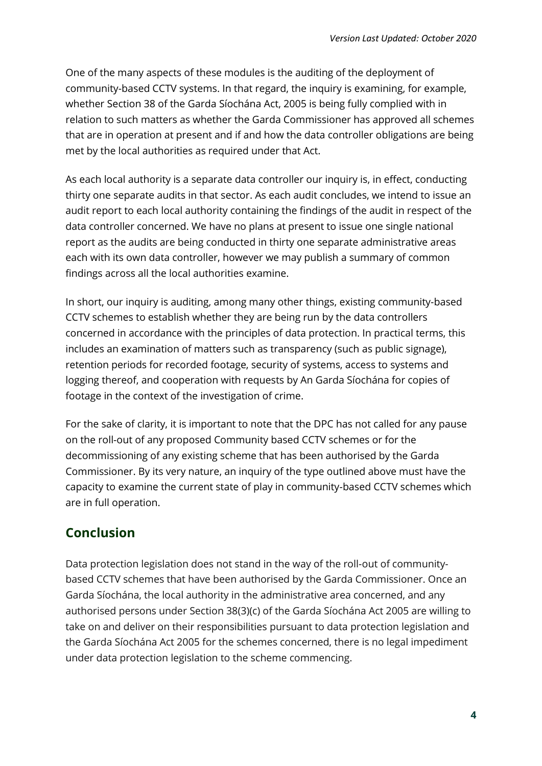One of the many aspects of these modules is the auditing of the deployment of community-based CCTV systems. In that regard, the inquiry is examining, for example, whether Section 38 of the Garda Síochána Act, 2005 is being fully complied with in relation to such matters as whether the Garda Commissioner has approved all schemes that are in operation at present and if and how the data controller obligations are being met by the local authorities as required under that Act.

As each local authority is a separate data controller our inquiry is, in effect, conducting thirty one separate audits in that sector. As each audit concludes, we intend to issue an audit report to each local authority containing the findings of the audit in respect of the data controller concerned. We have no plans at present to issue one single national report as the audits are being conducted in thirty one separate administrative areas each with its own data controller, however we may publish a summary of common findings across all the local authorities examine.

In short, our inquiry is auditing, among many other things, existing community-based CCTV schemes to establish whether they are being run by the data controllers concerned in accordance with the principles of data protection. In practical terms, this includes an examination of matters such as transparency (such as public signage), retention periods for recorded footage, security of systems, access to systems and logging thereof, and cooperation with requests by An Garda Síochána for copies of footage in the context of the investigation of crime.

For the sake of clarity, it is important to note that the DPC has not called for any pause on the roll-out of any proposed Community based CCTV schemes or for the decommissioning of any existing scheme that has been authorised by the Garda Commissioner. By its very nature, an inquiry of the type outlined above must have the capacity to examine the current state of play in community-based CCTV schemes which are in full operation.

# **Conclusion**

Data protection legislation does not stand in the way of the roll-out of communitybased CCTV schemes that have been authorised by the Garda Commissioner. Once an Garda Síochána, the local authority in the administrative area concerned, and any authorised persons under Section 38(3)(c) of the Garda Síochána Act 2005 are willing to take on and deliver on their responsibilities pursuant to data protection legislation and the Garda Síochána Act 2005 for the schemes concerned, there is no legal impediment under data protection legislation to the scheme commencing.